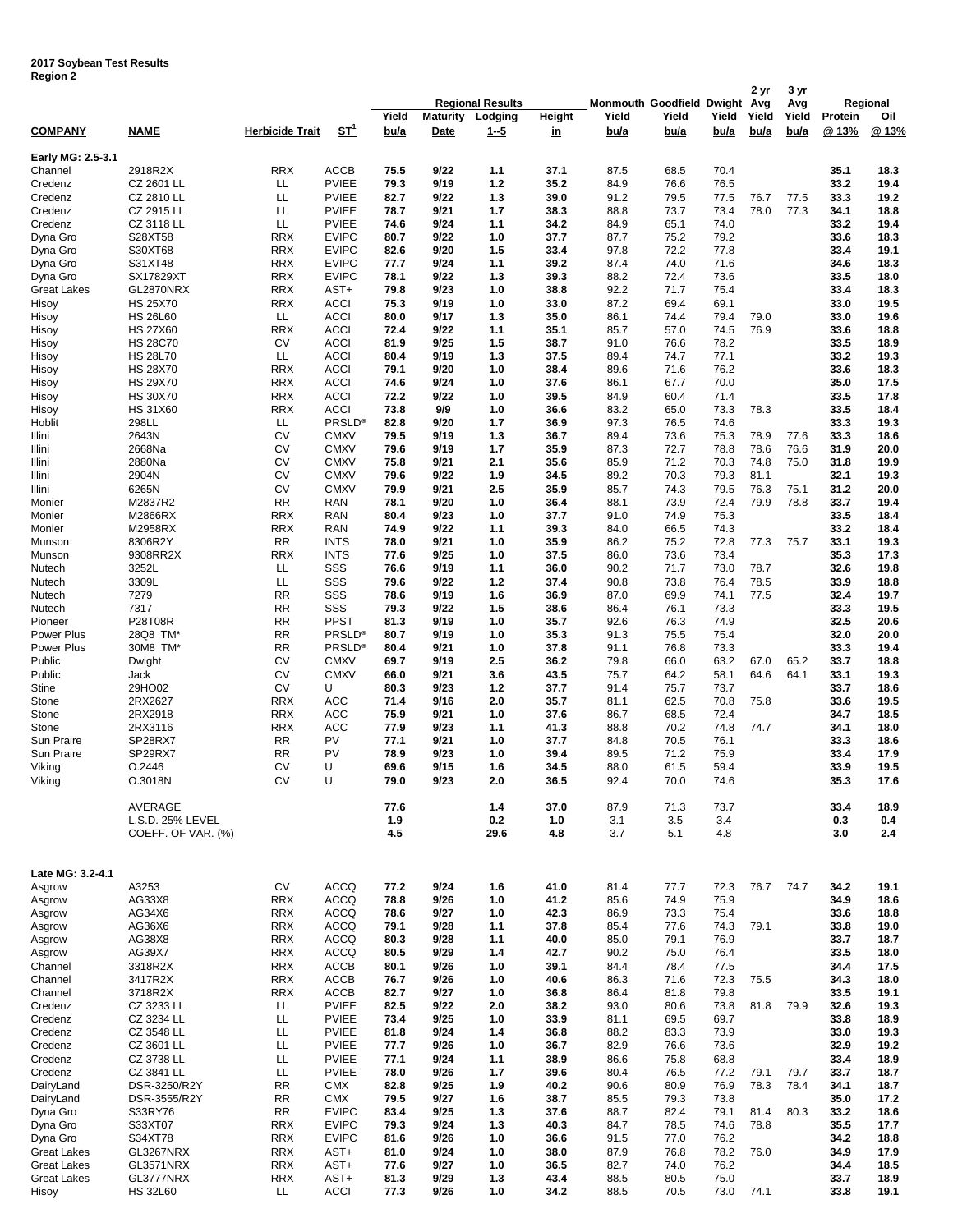## **2017 Soybean Test Results Region 2**

|                    |                                    |                        |                            |              |                 | <b>Regional Results</b> |              | Monmouth Goodfield Dwight Avg |              |              | 2 yr  | 3 yr<br>Avg |              | Regional     |
|--------------------|------------------------------------|------------------------|----------------------------|--------------|-----------------|-------------------------|--------------|-------------------------------|--------------|--------------|-------|-------------|--------------|--------------|
|                    |                                    |                        |                            | Yield        | <b>Maturity</b> | Lodging                 | Height       | Yield                         | Yield        | Yield        | Yield | Yield       | Protein      | Oil          |
| <b>COMPANY</b>     | <b>NAME</b>                        | <b>Herbicide Trait</b> | ST <sup>1</sup>            | bu/a         | Date            | $1 - 5$                 | <u>in</u>    | bu/a                          | bu/a         | bu/a         | bu/a  | bu/a        | @ 13%        | @ 13%        |
|                    |                                    |                        |                            |              |                 |                         |              |                               |              |              |       |             |              |              |
| Early MG: 2.5-3.1  |                                    |                        |                            |              |                 |                         |              |                               |              |              |       |             |              |              |
| Channel            | 2918R2X                            | <b>RRX</b>             | <b>ACCB</b>                | 75.5         | 9/22            | 1.1                     | 37.1         | 87.5                          | 68.5         | 70.4         |       |             | 35.1         | 18.3         |
| Credenz            | CZ 2601 LL                         | LL                     | <b>PVIEE</b>               | 79.3         | 9/19            | 1.2                     | 35.2         | 84.9                          | 76.6         | 76.5         |       |             | 33.2         | 19.4         |
| Credenz            | CZ 2810 LL                         | LL                     | <b>PVIEE</b>               | 82.7         | 9/22            | 1.3                     | 39.0         | 91.2                          | 79.5         | 77.5         | 76.7  | 77.5        | 33.3         | 19.2         |
| Credenz            | CZ 2915 LL                         | LL                     | <b>PVIEE</b>               | 78.7         | 9/21            | 1.7                     | 38.3         | 88.8                          | 73.7         | 73.4         | 78.0  | 77.3        | 34.1         | 18.8         |
| Credenz            | CZ 3118 LL                         | LL                     | <b>PVIEE</b>               | 74.6         | 9/24            | 1.1                     | 34.2         | 84.9                          | 65.1         | 74.0         |       |             | 33.2         | 19.4         |
| Dyna Gro           | S28XT58                            | <b>RRX</b>             | <b>EVIPC</b>               | 80.7         | 9/22            | 1.0                     | 37.7         | 87.7                          | 75.2         | 79.2         |       |             | 33.6         | 18.3         |
| Dyna Gro           | S30XT68                            | <b>RRX</b>             | <b>EVIPC</b>               | 82.6         | 9/20            | 1.5                     | 33.4         | 97.8                          | 72.2         | 77.8         |       |             | 33.4         | 19.1         |
| Dyna Gro           | S31XT48                            | <b>RRX</b>             | <b>EVIPC</b>               | 77.7         | 9/24            | 1.1                     | 39.2         | 87.4                          | 74.0         | 71.6         |       |             | 34.6         | 18.3         |
| Dyna Gro           | SX17829XT                          | <b>RRX</b>             | <b>EVIPC</b>               | 78.1         | 9/22            | 1.3                     | 39.3         | 88.2                          | 72.4         | 73.6         |       |             | 33.5         | 18.0         |
| Great Lakes        | GL2870NRX                          | <b>RRX</b>             | AST+                       | 79.8         | 9/23            | 1.0                     | 38.8         | 92.2                          | 71.7         | 75.4         |       |             | 33.4         | 18.3         |
| Hisoy              | <b>HS 25X70</b>                    | <b>RRX</b>             | <b>ACCI</b>                | 75.3         | 9/19            | 1.0                     | 33.0         | 87.2                          | 69.4         | 69.1         |       |             | 33.0         | 19.5         |
| Hisoy              | <b>HS 26L60</b>                    | LL.                    | <b>ACCI</b>                | 80.0         | 9/17            | 1.3                     | 35.0         | 86.1                          | 74.4         | 79.4         | 79.0  |             | 33.0         | 19.6         |
| Hisoy              | <b>HS 27X60</b>                    | <b>RRX</b>             | <b>ACCI</b>                | 72.4         | 9/22            | 1.1                     | 35.1         | 85.7                          | 57.0         | 74.5         | 76.9  |             | 33.6         | 18.8         |
| Hisoy              | <b>HS 28C70</b>                    | CV                     | <b>ACCI</b>                | 81.9         | 9/25            | 1.5                     | 38.7         | 91.0                          | 76.6         | 78.2         |       |             | 33.5         | 18.9         |
| Hisoy              | <b>HS 28L70</b><br><b>HS 28X70</b> | LL<br><b>RRX</b>       | <b>ACCI</b><br><b>ACCI</b> | 80.4<br>79.1 | 9/19<br>9/20    | 1.3<br>1.0              | 37.5<br>38.4 | 89.4<br>89.6                  | 74.7<br>71.6 | 77.1<br>76.2 |       |             | 33.2<br>33.6 | 19.3<br>18.3 |
| Hisoy              | <b>HS 29X70</b>                    | <b>RRX</b>             | <b>ACCI</b>                | 74.6         | 9/24            | 1.0                     | 37.6         | 86.1                          | 67.7         | 70.0         |       |             | 35.0         | 17.5         |
| Hisoy<br>Hisoy     | <b>HS 30X70</b>                    | <b>RRX</b>             | <b>ACCI</b>                | 72.2         | 9/22            | 1.0                     | 39.5         | 84.9                          | 60.4         | 71.4         |       |             | 33.5         | 17.8         |
| Hisoy              | <b>HS 31X60</b>                    | <b>RRX</b>             | <b>ACCI</b>                | 73.8         | 9/9             | 1.0                     | 36.6         | 83.2                          | 65.0         | 73.3         | 78.3  |             | 33.5         | 18.4         |
| Hoblit             | 298LL                              | LL                     | PRSLD <sup>®</sup>         | 82.8         | 9/20            | 1.7                     | 36.9         | 97.3                          | 76.5         | 74.6         |       |             | 33.3         | 19.3         |
| Illini             | 2643N                              | CV                     | <b>CMXV</b>                | 79.5         | 9/19            | 1.3                     | 36.7         | 89.4                          | 73.6         | 75.3         | 78.9  | 77.6        | 33.3         | 18.6         |
| Illini             | 2668Na                             | CV                     | <b>CMXV</b>                | 79.6         | 9/19            | 1.7                     | 35.9         | 87.3                          | 72.7         | 78.8         | 78.6  | 76.6        | 31.9         | 20.0         |
| Illini             | 2880Na                             | C٧                     | <b>CMXV</b>                | 75.8         | 9/21            | 2.1                     | 35.6         | 85.9                          | 71.2         | 70.3         | 74.8  | 75.0        | 31.8         | 19.9         |
| Illini             | 2904N                              | CV                     | <b>CMXV</b>                | 79.6         | 9/22            | 1.9                     | 34.5         | 89.2                          | 70.3         | 79.3         | 81.1  |             | 32.1         | 19.3         |
| Illini             | 6265N                              | CV                     | <b>CMXV</b>                | 79.9         | 9/21            | 2.5                     | 35.9         | 85.7                          | 74.3         | 79.5         | 76.3  | 75.1        | 31.2         | 20.0         |
| Monier             | M2837R2                            | <b>RR</b>              | RAN                        | 78.1         | 9/20            | 1.0                     | 36.4         | 88.1                          | 73.9         | 72.4         | 79.9  | 78.8        | 33.7         | 19.4         |
| Monier             | M2866RX                            | <b>RRX</b>             | RAN                        | 80.4         | 9/23            | 1.0                     | 37.7         | 91.0                          | 74.9         | 75.3         |       |             | 33.5         | 18.4         |
| Monier             | M2958RX                            | <b>RRX</b>             | RAN                        | 74.9         | 9/22            | 1.1                     | 39.3         | 84.0                          | 66.5         | 74.3         |       |             | 33.2         | 18.4         |
| Munson             | 8306R2Y                            | <b>RR</b>              | <b>INTS</b>                | 78.0         | 9/21            | 1.0                     | 35.9         | 86.2                          | 75.2         | 72.8         | 77.3  | 75.7        | 33.1         | 19.3         |
| Munson             | 9308RR2X                           | <b>RRX</b>             | <b>INTS</b>                | 77.6         | 9/25            | 1.0                     | 37.5         | 86.0                          | 73.6         | 73.4         |       |             | 35.3         | 17.3         |
| Nutech             | 3252L                              | LL                     | SSS                        | 76.6         | 9/19            | 1.1                     | 36.0         | 90.2                          | 71.7         | 73.0         | 78.7  |             | 32.6         | 19.8         |
| Nutech             | 3309L                              | LL                     | SSS                        | 79.6         | 9/22            | 1.2                     | 37.4         | 90.8                          | 73.8         | 76.4         | 78.5  |             | 33.9         | 18.8         |
| Nutech             | 7279                               | <b>RR</b>              | SSS                        | 78.6         | 9/19            | 1.6                     | 36.9         | 87.0                          | 69.9         | 74.1         | 77.5  |             | 32.4         | 19.7         |
| Nutech             | 7317                               | <b>RR</b>              | SSS                        | 79.3         | 9/22            | 1.5                     | 38.6         | 86.4                          | 76.1         | 73.3         |       |             | 33.3         | 19.5         |
| Pioneer            | P28T08R                            | <b>RR</b>              | <b>PPST</b>                | 81.3         | 9/19            | 1.0                     | 35.7         | 92.6                          | 76.3         | 74.9         |       |             | 32.5         | 20.6         |
| Power Plus         | 28Q8 TM*                           | <b>RR</b>              | PRSLD <sup>®</sup>         | 80.7         | 9/19            | 1.0                     | 35.3         | 91.3                          | 75.5         | 75.4         |       |             | 32.0         | 20.0         |
| Power Plus         | 30M8 TM*                           | <b>RR</b>              | PRSLD <sup>®</sup>         | 80.4         | 9/21            | 1.0                     | 37.8         | 91.1                          | 76.8         | 73.3         |       |             | 33.3         | 19.4         |
| Public             | Dwight                             | CV                     | <b>CMXV</b>                | 69.7         | 9/19            | 2.5                     | 36.2         | 79.8                          | 66.0         | 63.2         | 67.0  | 65.2        | 33.7         | 18.8         |
| Public             | Jack                               | CV                     | <b>CMXV</b>                | 66.0         | 9/21            | 3.6                     | 43.5         | 75.7                          | 64.2         | 58.1         | 64.6  | 64.1        | 33.1         | 19.3         |
| Stine              | 29HO02                             | CV                     | U                          | 80.3         | 9/23            | $1.2$                   | 37.7         | 91.4                          | 75.7         | 73.7         |       |             | 33.7         | 18.6         |
| Stone              | 2RX2627                            | <b>RRX</b>             | ACC                        | 71.4         | 9/16            | 2.0                     | 35.7         | 81.1                          | 62.5         | 70.8         | 75.8  |             | 33.6         | 19.5         |
| Stone              | 2RX2918                            | <b>RRX</b>             | ACC                        | 75.9         | 9/21            | 1.0                     | 37.6         | 86.7                          | 68.5         | 72.4         |       |             | 34.7         | 18.5         |
| Stone              | 2RX3116                            | <b>RRX</b>             | ACC                        | 77.9         | 9/23            | 1.1                     | 41.3         | 88.8                          | 70.2         | 74.8         | 74.7  |             | 34.1         | 18.0         |
| Sun Praire         | SP28RX7                            | <b>RR</b>              | PV                         | 77.1         | 9/21            | 1.0                     | 37.7         | 84.8                          | 70.5         | 76.1         |       |             | 33.3         | 18.6         |
| Sun Praire         | SP29RX7                            | <b>RR</b>              | PV                         | 78.9         | 9/23            | 1.0                     | 39.4         | 89.5                          | 71.2         | 75.9         |       |             | 33.4         | 17.9         |
| Viking             | O.2446                             | CV                     | U                          | 69.6         | 9/15            | 1.6                     | 34.5         | 88.0                          | 61.5         | 59.4         |       |             | 33.9         | 19.5         |
| Viking             | O.3018N                            | СV                     | U                          | 79.0         | 9/23            | 2.0                     | 36.5         | 92.4                          | 70.0         | 74.6         |       |             | 35.3         | 17.6         |
|                    |                                    |                        |                            |              |                 |                         |              |                               |              |              |       |             |              |              |
|                    | AVERAGE<br>L.S.D. 25% LEVEL        |                        |                            | 77.6<br>1.9  |                 | 1.4<br>0.2              | 37.0<br>1.0  | 87.9<br>3.1                   | 71.3<br>3.5  | 73.7<br>3.4  |       |             | 33.4<br>0.3  | 18.9<br>0.4  |
|                    |                                    |                        |                            | 4.5          |                 | 29.6                    | 4.8          | 3.7                           | 5.1          | 4.8          |       |             | 3.0          | 2.4          |
|                    | COEFF. OF VAR. (%)                 |                        |                            |              |                 |                         |              |                               |              |              |       |             |              |              |
|                    |                                    |                        |                            |              |                 |                         |              |                               |              |              |       |             |              |              |
| Late MG: 3.2-4.1   |                                    |                        |                            |              |                 |                         |              |                               |              |              |       |             |              |              |
| Asgrow             | A3253                              | <b>CV</b>              | <b>ACCQ</b>                | 77.2         | 9/24            | 1.6                     | 41.0         | 81.4                          | 77.7         | 72.3         | 76.7  | 74.7        | 34.2         | 19.1         |
| Asgrow             | AG33X8                             | <b>RRX</b>             | <b>ACCQ</b>                | 78.8         | 9/26            | 1.0                     | 41.2         | 85.6                          | 74.9         | 75.9         |       |             | 34.9         | 18.6         |
| Asgrow             | AG34X6                             | <b>RRX</b>             | <b>ACCQ</b>                | 78.6         | 9/27            | 1.0                     | 42.3         | 86.9                          | 73.3         | 75.4         |       |             | 33.6         | 18.8         |
| Asgrow             | AG36X6                             | <b>RRX</b>             | <b>ACCQ</b>                | 79.1         | 9/28            | 1.1                     | 37.8         | 85.4                          | 77.6         | 74.3         | 79.1  |             | 33.8         | 19.0         |
| Asgrow             | AG38X8                             | <b>RRX</b>             | <b>ACCQ</b>                | 80.3         | 9/28            | 1.1                     | 40.0         | 85.0                          | 79.1         | 76.9         |       |             | 33.7         | 18.7         |
| Asgrow             | AG39X7                             | <b>RRX</b>             | <b>ACCQ</b>                | 80.5         | 9/29            | 1.4                     | 42.7         | 90.2                          | 75.0         | 76.4         |       |             | 33.5         | 18.0         |
| Channel            | 3318R2X                            | <b>RRX</b>             | ACCB                       | 80.1         | 9/26            | 1.0                     | 39.1         | 84.4                          | 78.4         | 77.5         |       |             | 34.4         | 17.5         |
| Channel            | 3417R2X                            | <b>RRX</b>             | ACCB                       | 76.7         | 9/26            | 1.0                     | 40.6         | 86.3                          | 71.6         | 72.3         | 75.5  |             | 34.3         | 18.0         |
| Channel            | 3718R2X                            | <b>RRX</b>             | ACCB                       | 82.7         | 9/27            | 1.0                     | 36.8         | 86.4                          | 81.8         | 79.8         |       |             | 33.5         | 19.1         |
| Credenz            | CZ 3233 LL                         | LL.                    | <b>PVIEE</b>               | 82.5         | 9/22            | 2.0                     | 38.2         | 93.0                          | 80.6         | 73.8         | 81.8  | 79.9        | 32.6         | 19.3         |
| Credenz            | CZ 3234 LL                         | LL                     | <b>PVIEE</b>               | 73.4         | 9/25            | 1.0                     | 33.9         | 81.1                          | 69.5         | 69.7         |       |             | 33.8         | 18.9         |
| Credenz            | CZ 3548 LL                         | LL                     | <b>PVIEE</b>               | 81.8         | 9/24            | 1.4                     | 36.8         | 88.2                          | 83.3         | 73.9         |       |             | 33.0         | 19.3         |
| Credenz            | CZ 3601 LL                         | LL                     | <b>PVIEE</b>               | 77.7         | 9/26            | 1.0                     | 36.7         | 82.9                          | 76.6         | 73.6         |       |             | 32.9         | 19.2         |
| Credenz            | CZ 3738 LL                         | LL                     | <b>PVIEE</b>               | 77.1         | 9/24            | 1.1                     | 38.9         | 86.6                          | 75.8         | 68.8         |       |             | 33.4         | 18.9         |
| Credenz            | CZ 3841 LL                         | LL                     | <b>PVIEE</b>               | 78.0         | 9/26            | 1.7                     | 39.6         | 80.4                          | 76.5         | 77.2         | 79.1  | 79.7        | 33.7         | 18.7         |
| DairyLand          | DSR-3250/R2Y                       | <b>RR</b>              | <b>CMX</b>                 | 82.8         | 9/25            | 1.9                     | 40.2         | 90.6                          | 80.9         | 76.9         | 78.3  | 78.4        | 34.1         | 18.7         |
| DairyLand          | DSR-3555/R2Y                       | <b>RR</b>              | <b>CMX</b>                 | 79.5         | 9/27            | 1.6                     | 38.7         | 85.5                          | 79.3         | 73.8         |       |             | 35.0         | 17.2         |
| Dyna Gro           | S33RY76                            | <b>RR</b>              | <b>EVIPC</b>               | 83.4         | 9/25            | 1.3                     | 37.6         | 88.7                          | 82.4         | 79.1         | 81.4  | 80.3        | 33.2         | 18.6         |
| Dyna Gro           | S33XT07                            | <b>RRX</b>             | <b>EVIPC</b>               | 79.3         | 9/24            | 1.3                     | 40.3         | 84.7                          | 78.5         | 74.6         | 78.8  |             | 35.5         | 17.7         |
| Dyna Gro           | S34XT78                            | <b>RRX</b>             | <b>EVIPC</b>               | 81.6         | 9/26            | 1.0                     | 36.6         | 91.5                          | 77.0         | 76.2         |       |             | 34.2         | 18.8         |
| <b>Great Lakes</b> | GL3267NRX                          | <b>RRX</b>             | AST+                       | 81.0         | 9/24            | 1.0                     | 38.0         | 87.9                          | 76.8         | 78.2         | 76.0  |             | 34.9         | 17.9         |
| <b>Great Lakes</b> | GL3571NRX                          | <b>RRX</b>             | AST+                       | 77.6         | 9/27            | 1.0                     | 36.5         | 82.7                          | 74.0         | 76.2         |       |             | 34.4         | 18.5         |
| <b>Great Lakes</b> | GL3777NRX                          | <b>RRX</b>             | AST+                       | 81.3         | 9/29            | 1.3                     | 43.4         | 88.5                          | 80.5         | 75.0         |       |             | 33.7         | 18.9         |
| Hisoy              | <b>HS 32L60</b>                    | LL.                    | <b>ACCI</b>                | 77.3         | 9/26            | 1.0                     | 34.2         | 88.5                          | 70.5         | 73.0         | 74.1  |             | 33.8         | 19.1         |